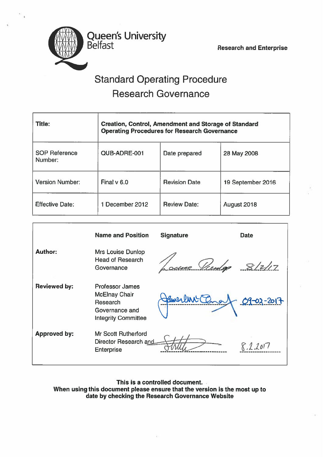Queen's University

Belfast Research and Enterprise

# Standard Operating Procedure Research Governance

| <b>Title:</b>                   | <b>Creation, Control, Amendment and Storage of Standard</b><br><b>Operating Procedures for Research Governance</b> |                      |                   |  |  |  |  |  |  |
|---------------------------------|--------------------------------------------------------------------------------------------------------------------|----------------------|-------------------|--|--|--|--|--|--|
| <b>SOP Reference</b><br>Number: | QUB-ADRE-001                                                                                                       | Date prepared        | 28 May 2008       |  |  |  |  |  |  |
| <b>Version Number:</b>          | Final $v$ 6.0                                                                                                      | <b>Revision Date</b> | 19 September 2016 |  |  |  |  |  |  |
| <b>Effective Date:</b>          | 1 December 2012                                                                                                    | <b>Review Date:</b>  | August 2018       |  |  |  |  |  |  |

|                     | <b>Name and Position</b>                                                                                   | <b>Signature</b>   | <b>Date</b> |
|---------------------|------------------------------------------------------------------------------------------------------------|--------------------|-------------|
| <b>Author:</b>      | <b>Mrs Louise Dunlop</b><br><b>Head of Research</b><br>Governance                                          | <u>ine Vientag</u> | 8/2/17      |
| <b>Reviewed by:</b> | <b>Professor James</b><br><b>McElnay Chair</b><br>Research<br>Governance and<br><b>Integrity Committee</b> | James Charles      | 09-02-2017  |
| <b>Approved by:</b> | <b>Mr Scott Rutherford</b><br>Director Research and<br><b>Enterprise</b>                                   |                    |             |

This is <sup>a</sup> controlled document. When using this document please ensure that the version is the most up to date by checking the Research Governance Website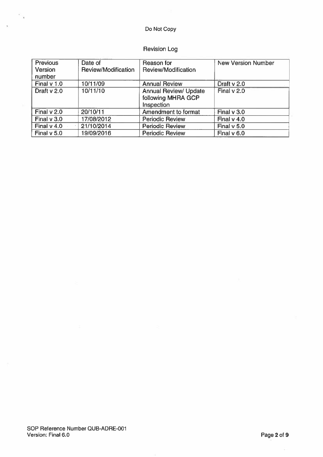### Do Not Copy

### Revision Log

| <b>Previous</b><br>Version<br>number | Date of<br>Review/Modification | Reason for<br>Review/Modification                                | <b>New Version Number</b> |
|--------------------------------------|--------------------------------|------------------------------------------------------------------|---------------------------|
| Final v 1.0                          | 10/11/09                       | <b>Annual Review</b>                                             | Draft v 2.0               |
| Draft $v$ 2.0                        | 10/11/10                       | <b>Annual Review/ Update</b><br>following MHRA GCP<br>Inspection | Final v 2.0               |
| Final v 2.0                          | 20/10/11                       | Amendment to format                                              | Final $v$ 3.0             |
| Final $v$ 3.0                        | 17/08/2012                     | <b>Periodic Review</b>                                           | Final $v$ 4.0             |
| Final $v$ 4.0                        | 21/10/2014                     | <b>Periodic Review</b>                                           | Final $v$ 5.0             |
| Final $v$ 5.0                        | 19/09/2016                     | <b>Periodic Review</b>                                           | Final v 6.0               |

 $c_{\gamma}$ 

 $\ddot{\phantom{a}}$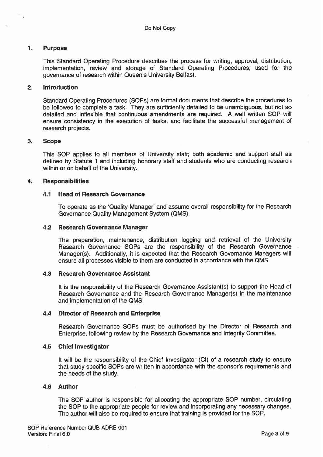#### $1.$ Purpose

This Standard Operating Procedure describes the process for writing, approval, distribution, implementation, review and storage of Standard Operating Procedures, used for the governance of research within Queen's University Belfast.

#### 2. Introduction

Standard Operating Procedures (SOPs) are formal documents that describe the procedures to be followed to complete <sup>a</sup> task. They are sufficiently detailed to be unambiguous, but not so detailed and inflexible that continuous amendments are required. A well written SOP will ensure consistency in the execution of tasks, and facilitate the successful managemen<sup>t</sup> of research projects.

#### 3. Scope

This SOP applies to all members of University staff; both academic and suppor<sup>t</sup> staff as defined by Statute 1 and including honorary staff and students who are conducting research within or on behalf of the University.

#### 4. Responsibilities

#### 4.1 Head of Research Governance

To operate as the 'Quality Manager' and assume overall responsibility for the Research Governance Quality Management System (QMS).

#### 4.2 Research Governance Manager

The preparation, maintenance, distribution logging and retrieval of the University Research Governance SOPs are the responsibility of the Research Governance Manager(s). Additionally, it is expected that the Research Governance Managers will ensure all processes visible to them are conducted in accordance with the QMS.

#### 4.3 Research Governance Assistant

It is the responsibility of the Research Governance Assistant(s) to suppor<sup>t</sup> the Head of Research Governance and the Research Governance Manager(s) in the maintenance and implementation of the QMS

#### 4.4 Director of Research and Enterprise

Research Governance SOPs must be authorised by the Director of Research and Enterprise, following review by the Research Governance and Integrity Committee.

#### 4.5 Chief Investigator

It will be the responsibility of the Chief Investigator (CI) of <sup>a</sup> research study to ensure that study specific SOPs are written in accordance with the sponsor's requirements and the needs of the study.

#### 4.6 Author

The SOP author is responsible for allocating the appropriate SOP number, circulating the SOP to the appropriate people for review and incorporating any necessary changes. The author will also be required to ensure that training is provided for the SOP.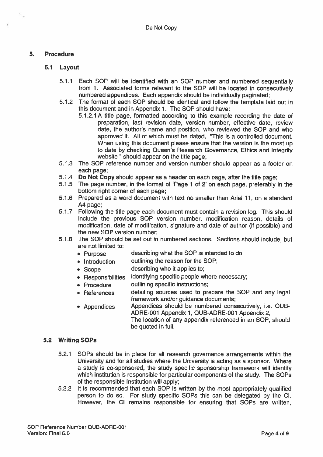#### 5. Procedure

#### 5.1 Layout

- 5.1.1 Each SOP will be identified with an SOP number and numbered sequentially from 1. Associated forms relevant to the SOP will be located in consecutively numbered appendices. Each appendix should be individually paginated;
- 5.1.2 The format of each SOP should be identical and follow the template laid out in this document and in Appendix 1. The SOP should have:
	- 5.1.2.1 A title page, formatted according to this example recording the date of preparation, last revision date, version number, effective date, review date, the author's name and position, who reviewed the SOP and who approved it. All of which must be dated. 'This is <sup>a</sup> controlled document. When using this document please ensure that the version is the most up to date by checking Queen's Research Governance, Ethics and Integrity website " should appear on the title page;
- 5.1.3 The SOP reference number and version number should appear as <sup>a</sup> footer on each page;
- 5.1.4 Do Not Copy should appear as <sup>a</sup> header on each page, after the title page;
- 5.1.5 The page number, in the format of 'Page 1 of 2' on each page, preferably in the bottom right corner of each page;
- 5.1.6 Prepared as a word document with text no smaller than Arial 11, on a standard A4 page;
- 5.1.7 Following the title page each document must contain <sup>a</sup> revision log. This should include the previous SOP version number, modification reason, details of modification, date of modification, signature and date of author (if possible) and the new SOP version number;
- 5.1.8 The SOP should be set out in numbered sections. Sections should include, but are not limited to:
	- Purpose describing what the SOP is intended to do;
	- Introduction outlining the reason for the SOP;
	- Scope describing who it applies to;
	- Responsibilities identifying specific people where necessary;
	- Procedure outlining specific instructions;
	- References detailing sources used to prepare the SOP and any legal framework and/or guidance documents;
	- Appendices Appendices should be numbered consecutively, i.e. QUB-ADRE-OO1 Appendix 1, QUB-ADRE-OO1 Appendix 2,

The location of any appendix referenced in an SOP, should be quoted in full.

#### 5.2 Writing SOPs

- 5.2.1 SOPs should be in place for all research governance arrangements within the University and for all studies where the University is acting as <sup>a</sup> sponsor. Where <sup>a</sup> study is co-sponsored, the study specific sponsorship framework will identify which institution is responsible for particular components of the study. The SOPs of the responsible Institution will apply;
- 5.2.2 It is recommended that each SOP is written by the most appropriately qualified person to do so. For study specific SOPs this can be delegated by the Cl. However, the Cl remains responsible for ensuring that SOPs are written,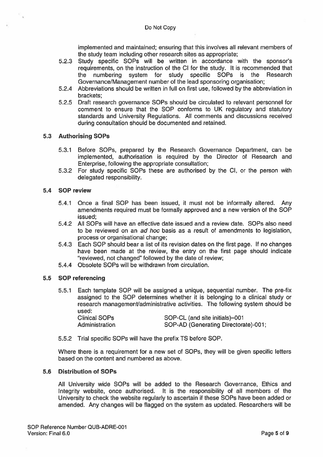implemented and maintained; ensuring that this involves all relevant members of the study team including other research sites as appropriate;

- 5.2.3 Study specific SOPs will be written in accordance with the sponsor's requirements, on the instruction of the Cl for the study. It is recommended that the numbering system for study specific SOPs is the Research Governance/Management number of the lead sponsoring organisation;
- 5.2.4 Abbreviations should be written in full on first use, followed by the abbreviation in brackets;
- 5.2.5 Draft research governance SOPs should be circulated to relevant personnel for comment to ensure that the SOP conforms to UK regulatory and statutory standards and University Regulations. All comments and discussions received during consultation should be documented and retained.

#### 5.3 Authorising SOPs

- 5.3.1 Before SOPs, prepared by the Research Governance Department, can be implemented, authorisation is required by the Director of Research and Enterprise, following the appropriate consultation;
- 5.3.2 For study specific SOPs these are authorised by the CI, or the person with delegated responsibility.

#### 5.4 sop review

- 5.4.1 Once <sup>a</sup> final SOP has been issued, it must not be informally altered. Any amendments required must be formally approved and <sup>a</sup> new version of the SOP issued:
- 5.4.2 All SOPs will have an effective date issued and <sup>a</sup> review date. SOPs also need to be reviewed on an ad hoc basis as <sup>a</sup> result of amendments to legislation, process or organisational change;
- 5.4.3 Each SOP should bear <sup>a</sup> list of its revision dates on the first page. If no changes have been made at the review, the entry on the first page should indicate "reviewed, not changed" followed by the date of review;
- 5.4.4 Obsolete SOPs will be withdrawn from circulation.

#### 5.5 SOP referencing

5.5.1 Each template SOP will be assigned <sup>a</sup> unique, sequential number. The pre-fix assigned to the SOP determines whether it is belonging to <sup>a</sup> clinical study or research management/administrative activities. The following system should be used:

| Clinical SOPs  | SOP-CL (and site initials)-001       |
|----------------|--------------------------------------|
| Administration | SOP-AD (Generating Directorate)-001; |

5.5.2 Trial specific SOPs will have the prefix TS before SOP.

Where there is <sup>a</sup> requirement for <sup>a</sup> new set of SOPs, they will be given specific letters based on the content and numbered as above.

#### 5.6 Distribution of SOPs

All University wide SOPs will be added to the Research Governance, Ethics and Integrity website, once authorised. It is the responsibility of all members of the University to check the website regularly to ascertain if these SOPs have been added or amended. Any changes will be flagged on the system as updated. Researchers will be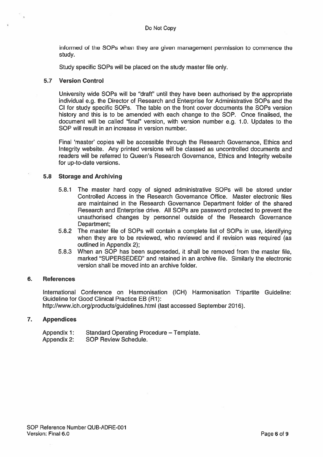informed of the SOPs when they are given managemen<sup>t</sup> permission to commence the study.

Study specific SOPs will be placed on the study master file only.

#### 5.7 Version Control

University wide SOPs will be "draft" until they have been authorised by the appropriate individual e.g. the Director of Research and Enterprise for Administrative SOPs and the Cl for study specific SOPs. The table on the front cover documents the SOPs version history and this is to be amended with each change to the SOP. Once finalised, the document will be called "final" version, with version number e.g. 1.0. Updates to the SOP will result in an increase in version number.

Final 'master' copies will be accessible through the Research Governance, Ethics and Integrity website. Any printed versions will be classed as uncontrolled documents and readers will be referred to Queen's Research Governance, Ethics and Integrity website for up-to-date versions.

#### 5.8 Storage and Archiving

- 5.8.1 The master hard copy of signed administrative SOPs will be stored under Controlled Access in the Research Governance Office. Master electronic files are maintained in the Research Governance Department folder of the shared Research and Enterprise drive. All SOPs are password protected to preven<sup>t</sup> the unauthorised changes by personnel outside of the Research Governance Department:
- 5.8.2 The master file of SOPs will contain <sup>a</sup> complete list of SOPs in use, identifying when they are to be reviewed, who reviewed and if revision was required (as outlined in Appendix 2);
- 5.8.3 When an SOP has been superseded, it shall be removed from the master file, marked "SUPERSEDED" and retained in an archive file. Similarly the electronic version shall be moved into an archive folder.

#### 6. References

International Conference on Harmonisation (ICH) Harmonisation Tripartite Guideline: Guideline for Good Clinical Practice EB (Ri): http://www.ich.org/products/guidelines.html (last accessed September 2016).

#### 7. Appendices

Appendix 1: Standard Operating Procedure — Template. Appendix 2: SOP Review Schedule.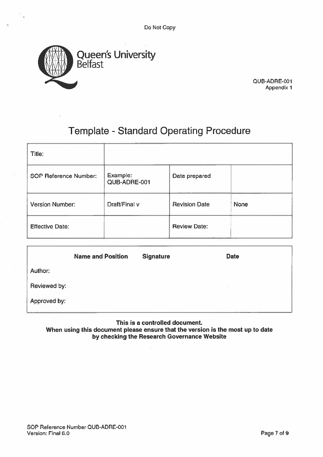Do Not Copy



QUB-ADRE-ODi Appendix 1

## Template - Standard Operating Procedure

| Title:                       |                          |                      |      |
|------------------------------|--------------------------|----------------------|------|
| <b>SOP Reference Number:</b> | Example:<br>QUB-ADRE-001 | Date prepared        |      |
| <b>Version Number:</b>       | Draft/Final v            | <b>Revision Date</b> | None |
| <b>Effective Date:</b>       |                          | <b>Review Date:</b>  |      |

|              | <b>Name and Position</b> | <b>Signature</b> | <b>Date</b> |
|--------------|--------------------------|------------------|-------------|
| Author:      |                          |                  |             |
| Reviewed by: |                          |                  |             |
| Approved by: |                          |                  |             |
|              |                          |                  |             |

#### This is <sup>a</sup> controlled document. When using this document please ensure that the version is the most up to date by checking the Research Governance Website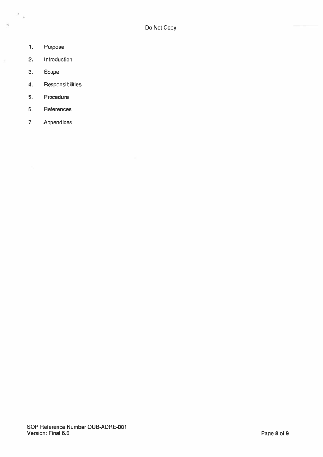1. Purpose

 $\hat{\mathcal{F}}_{\text{eq}}$ 

 $\overline{\mathcal{A}}_k$ 

- 2. Introduction
- 3. Scope
- 4. Responsibilities
- 5. Procedure
- 6. References
- 7. Appendices